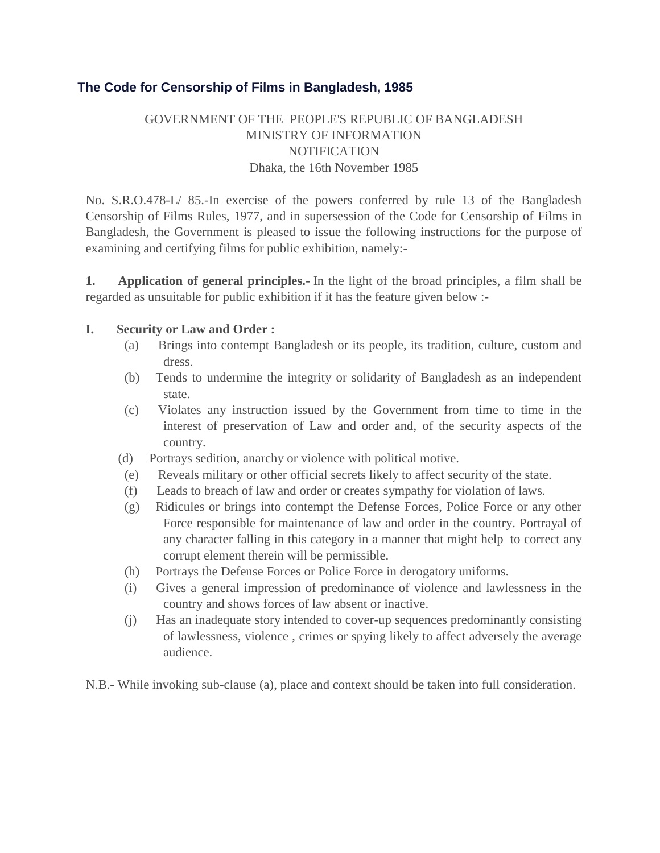# **The Code for Censorship of Films in Bangladesh, 1985**

# GOVERNMENT OF THE PEOPLE'S REPUBLIC OF BANGLADESH MINISTRY OF INFORMATION **NOTIFICATION** Dhaka, the 16th November 1985

No. S.R.O.478-L/ 85.-In exercise of the powers conferred by rule 13 of the Bangladesh Censorship of Films Rules, 1977, and in supersession of the Code for Censorship of Films in Bangladesh, the Government is pleased to issue the following instructions for the purpose of examining and certifying films for public exhibition, namely:-

**1. Application of general principles.-** In the light of the broad principles, a film shall be regarded as unsuitable for public exhibition if it has the feature given below :-

#### **I. Security or Law and Order :**

- (a) Brings into contempt Bangladesh or its people, its tradition, culture, custom and dress.
- (b) Tends to undermine the integrity or solidarity of Bangladesh as an independent state.
- (c) Violates any instruction issued by the Government from time to time in the interest of preservation of Law and order and, of the security aspects of the country.
- (d) Portrays sedition, anarchy or violence with political motive.
- (e) Reveals military or other official secrets likely to affect security of the state.
- (f) Leads to breach of law and order or creates sympathy for violation of laws.
- (g) Ridicules or brings into contempt the Defense Forces, Police Force or any other Force responsible for maintenance of law and order in the country. Portrayal of any character falling in this category in a manner that might help to correct any corrupt element therein will be permissible.
- (h) Portrays the Defense Forces or Police Force in derogatory uniforms.
- (i) Gives a general impression of predominance of violence and lawlessness in the country and shows forces of law absent or inactive.
- (j) Has an inadequate story intended to cover-up sequences predominantly consisting of lawlessness, violence , crimes or spying likely to affect adversely the average audience.
- N.B.- While invoking sub-clause (a), place and context should be taken into full consideration.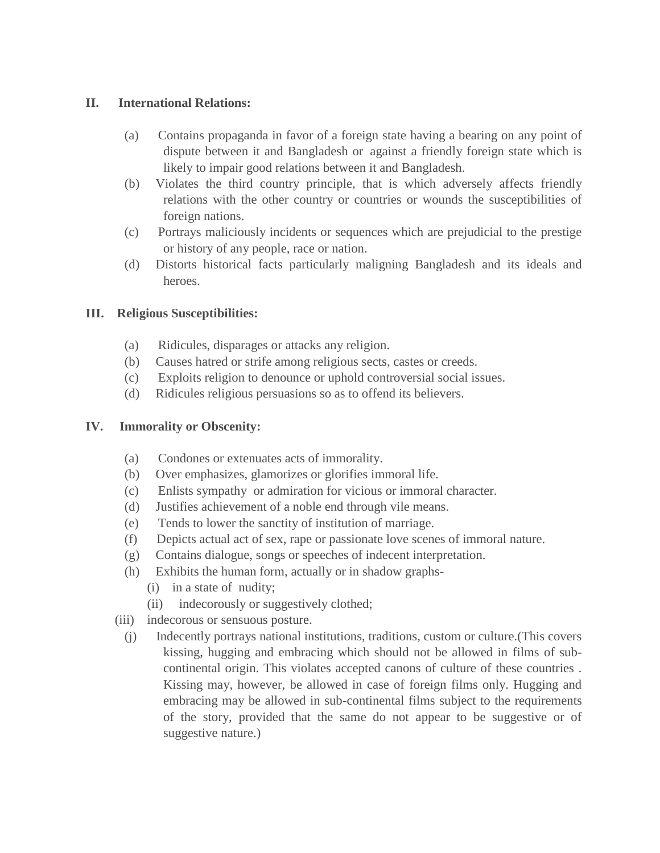### **II. International Relations:**

- (a) Contains propaganda in favor of a foreign state having a bearing on any point of dispute between it and Bangladesh or against a friendly foreign state which is likely to impair good relations between it and Bangladesh.
- (b) Violates the third country principle, that is which adversely affects friendly relations with the other country or countries or wounds the susceptibilities of foreign nations.
- (c) Portrays maliciously incidents or sequences which are prejudicial to the prestige or history of any people, race or nation.
- (d) Distorts historical facts particularly maligning Bangladesh and its ideals and heroes.

# **III. Religious Susceptibilities:**

- (a) Ridicules, disparages or attacks any religion.
- (b) Causes hatred or strife among religious sects, castes or creeds.
- (c) Exploits religion to denounce or uphold controversial social issues.
- (d) Ridicules religious persuasions so as to offend its believers.

# **IV. Immorality or Obscenity:**

- (a) Condones or extenuates acts of immorality.
- (b) Over emphasizes, glamorizes or glorifies immoral life.
- (c) Enlists sympathy or admiration for vicious or immoral character.
- (d) Justifies achievement of a noble end through vile means.
- (e) Tends to lower the sanctity of institution of marriage.
- (f) Depicts actual act of sex, rape or passionate love scenes of immoral nature.
- (g) Contains dialogue, songs or speeches of indecent interpretation.
- (h) Exhibits the human form, actually or in shadow graphs-
	- (i) in a state of nudity;
	- (ii) indecorously or suggestively clothed;
- (iii) indecorous or sensuous posture.
	- (j) Indecently portrays national institutions, traditions, custom or culture.(This covers kissing, hugging and embracing which should not be allowed in films of subcontinental origin. This violates accepted canons of culture of these countries . Kissing may, however, be allowed in case of foreign films only. Hugging and embracing may be allowed in sub-continental films subject to the requirements of the story, provided that the same do not appear to be suggestive or of suggestive nature.)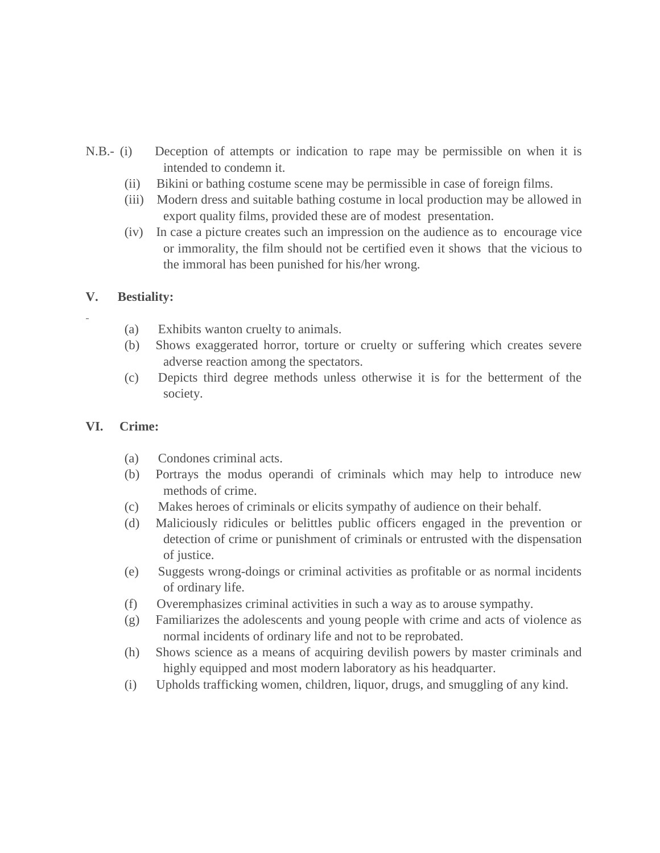- N.B.- (i) Deception of attempts or indication to rape may be permissible on when it is intended to condemn it.
	- (ii) Bikini or bathing costume scene may be permissible in case of foreign films.
	- (iii) Modern dress and suitable bathing costume in local production may be allowed in export quality films, provided these are of modest presentation.
	- (iv) In case a picture creates such an impression on the audience as to encourage vice or immorality, the film should not be certified even it shows that the vicious to the immoral has been punished for his/her wrong.

# **V. Bestiality:**

- (a) Exhibits wanton cruelty to animals.
- (b) Shows exaggerated horror, torture or cruelty or suffering which creates severe adverse reaction among the spectators.
- (c) Depicts third degree methods unless otherwise it is for the betterment of the society.

# **VI. Crime:**

- (a) Condones criminal acts.
- (b) Portrays the modus operandi of criminals which may help to introduce new methods of crime.
- (c) Makes heroes of criminals or elicits sympathy of audience on their behalf.
- (d) Maliciously ridicules or belittles public officers engaged in the prevention or detection of crime or punishment of criminals or entrusted with the dispensation of justice.
- (e) Suggests wrong-doings or criminal activities as profitable or as normal incidents of ordinary life.
- (f) Overemphasizes criminal activities in such a way as to arouse sympathy.
- (g) Familiarizes the adolescents and young people with crime and acts of violence as normal incidents of ordinary life and not to be reprobated.
- (h) Shows science as a means of acquiring devilish powers by master criminals and highly equipped and most modern laboratory as his headquarter.
- (i) Upholds trafficking women, children, liquor, drugs, and smuggling of any kind.